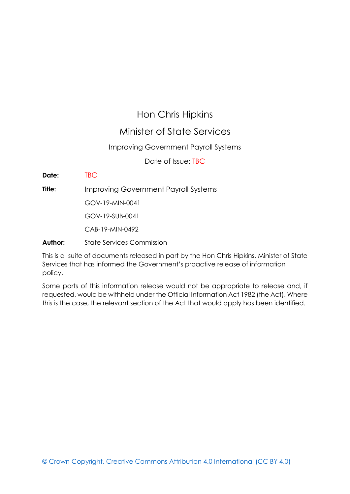# Hon Chris Hipkins

## Minister of State Services

### Improving Government Payroll Systems

Date of Issue: 17 October 2019

**Date:** 17 October 2019

**Title:** Improving Government Payroll Systems

GOV-19-MIN-0041

GOV-19-SUB-0041

CAB-19-MIN-0492

**Author:** State Services Commission

This is a suite of documents released in part by the Hon Chris Hipkins, Minister of State Services that has informed the Government's proactive release of information policy.

Some parts of this information release would not be appropriate to release and, if requested, would be withheld under the Official Information Act 1982 (the Act). Where this is the case, the relevant section of the Act that would apply has been identified.

© Crown Copyright, Creative Commons Attribution 4.0 International (CC BY 4.0)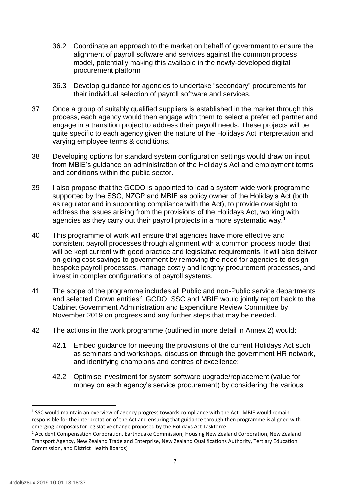- 36.2 Coordinate an approach to the market on behalf of government to ensure the alignment of payroll software and services against the common process model, potentially making this available in the newly-developed digital procurement platform
- 36.3 Develop guidance for agencies to undertake "secondary" procurements for their individual selection of payroll software and services.
- 37 Once a group of suitably qualified suppliers is established in the market through this process, each agency would then engage with them to select a preferred partner and engage in a transition project to address their payroll needs. These projects will be quite specific to each agency given the nature of the Holidays Act interpretation and varying employee terms & conditions.
- 38 Developing options for standard system configuration settings would draw on input from MBIE's guidance on administration of the Holiday's Act and employment terms and conditions within the public sector.
- 39 I also propose that the GCDO is appointed to lead a system wide work programme supported by the SSC, NZGP and MBIE as policy owner of the Holiday's Act (both as regulator and in supporting compliance with the Act), to provide oversight to address the issues arising from the provisions of the Holidays Act, working with agencies as they carry out their payroll projects in a more systematic way.<sup>1</sup>
- 40 This programme of work will ensure that agencies have more effective and consistent payroll processes through alignment with a common process model that will be kept current with good practice and legislative requirements. It will also deliver on-going cost savings to government by removing the need for agencies to design bespoke payroll processes, manage costly and lengthy procurement processes, and invest in complex configurations of payroll systems.
- 41 The scope of the programme includes all Public and non-Public service departments and selected Crown entities<sup>2</sup>. GCDO, SSC and MBIE would jointly report back to the Cabinet Government Administration and Expenditure Review Committee by November 2019 on progress and any further steps that may be needed.
- 42 The actions in the work programme (outlined in more detail in Annex 2) would:
	- 42.1 Embed guidance for meeting the provisions of the current Holidays Act such as seminars and workshops, discussion through the government HR network, and identifying champions and centres of excellence;
	- 42.2 Optimise investment for system software upgrade/replacement (value for money on each agency's service procurement) by considering the various

**.** 

 $<sup>1</sup>$  SSC would maintain an overview of agency progress towards compliance with the Act. MBIE would remain</sup> responsible for the interpretation of the Act and ensuring that guidance through then programme is aligned with emerging proposals for legislative change proposed by the Holidays Act Taskforce.

<sup>&</sup>lt;sup>2</sup> Accident Compensation Corporation, Earthquake Commission, Housing New Zealand Corporation, New Zealand Transport Agency, New Zealand Trade and Enterprise, New Zealand Qualifications Authority, Tertiary Education Commission, and District Health Boards)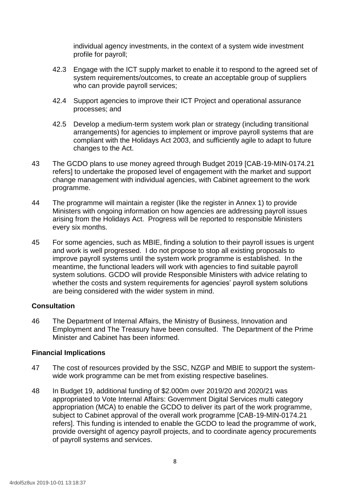individual agency investments, in the context of a system wide investment profile for payroll;

- 42.3 Engage with the ICT supply market to enable it to respond to the agreed set of system requirements/outcomes, to create an acceptable group of suppliers who can provide payroll services;
- 42.4 Support agencies to improve their ICT Project and operational assurance processes; and
- 42.5 Develop a medium-term system work plan or strategy (including transitional arrangements) for agencies to implement or improve payroll systems that are compliant with the Holidays Act 2003, and sufficiently agile to adapt to future changes to the Act.
- 43 The GCDO plans to use money agreed through Budget 2019 [CAB-19-MIN-0174.21 refers] to undertake the proposed level of engagement with the market and support change management with individual agencies, with Cabinet agreement to the work programme.
- 44 The programme will maintain a register (like the register in Annex 1) to provide Ministers with ongoing information on how agencies are addressing payroll issues arising from the Holidays Act. Progress will be reported to responsible Ministers every six months.
- 45 For some agencies, such as MBIE, finding a solution to their payroll issues is urgent and work is well progressed. I do not propose to stop all existing proposals to improve payroll systems until the system work programme is established. In the meantime, the functional leaders will work with agencies to find suitable payroll system solutions. GCDO will provide Responsible Ministers with advice relating to whether the costs and system requirements for agencies' payroll system solutions are being considered with the wider system in mind.

### **Consultation**

46 The Department of Internal Affairs, the Ministry of Business, Innovation and Employment and The Treasury have been consulted. The Department of the Prime Minister and Cabinet has been informed.

### **Financial Implications**

- 47 The cost of resources provided by the SSC, NZGP and MBIE to support the systemwide work programme can be met from existing respective baselines.
- 48 In Budget 19, additional funding of \$2.000m over 2019/20 and 2020/21 was appropriated to Vote Internal Affairs: Government Digital Services multi category appropriation (MCA) to enable the GCDO to deliver its part of the work programme, subject to Cabinet approval of the overall work programme [CAB-19-MIN-0174.21 refers]. This funding is intended to enable the GCDO to lead the programme of work, provide oversight of agency payroll projects, and to coordinate agency procurements of payroll systems and services.